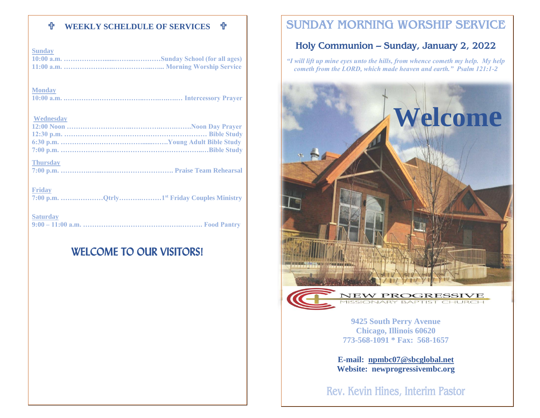### **WEEKLY SCHELDULE OF SERVICES**

| <b>Sunday</b>   |
|-----------------|
| <b>Monday</b>   |
| Wednesday       |
| <b>Thursday</b> |
| <b>Friday</b>   |
| <b>Saturday</b> |

# WELCOME TO OUR VISITORS!

# **SUNDAY MORNING WORSHIP SERVICE**

### **Holy Communion – Sunday, January 2, 2022**

*"I will lift up mine eyes unto the hills, from whence cometh my help. My help cometh from the LORD, which made heaven and earth." Psalm 121:1-2*





**9425 South Perry Avenue Chicago, Illinois 60620 773-568-1091 \* Fax: 568-1657**

**E-mail: [npmbc07@sbcglobal.net](mailto:npmbc07@sbcglobal.net) Website: newprogressivembc.org**

**Rev. Kevin Hines, Interim Pastor**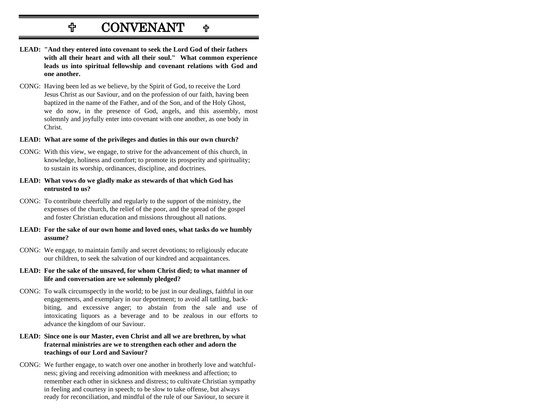# $\mathbf{C}$ **CONVENANT**

- **LEAD: "And they entered into covenant to seek the Lord God of their fathers with all their heart and with all their soul." What common experience leads us into spiritual fellowship and covenant relations with God and one another.**
- CONG: Having been led as we believe, by the Spirit of God, to receive the Lord Jesus Christ as our Saviour, and on the profession of our faith, having been baptized in the name of the Father, and of the Son, and of the Holy Ghost, we do now, in the presence of God, angels, and this assembly, most solemnly and joyfully enter into covenant with one another, as one body in Christ.
- **LEAD: What are some of the privileges and duties in this our own church?**
- CONG: With this view, we engage, to strive for the advancement of this church, in knowledge, holiness and comfort; to promote its prosperity and spirituality; to sustain its worship, ordinances, discipline, and doctrines.
- **LEAD: What vows do we gladly make as stewards of that which God has entrusted to us?**
- CONG: To contribute cheerfully and regularly to the support of the ministry, the expenses of the church, the relief of the poor, and the spread of the gospel and foster Christian education and missions throughout all nations.
- **LEAD: For the sake of our own home and loved ones, what tasks do we humbly assume?**
- CONG: We engage, to maintain family and secret devotions; to religiously educate our children, to seek the salvation of our kindred and acquaintances.
- **LEAD: For the sake of the unsaved, for whom Christ died; to what manner of life and conversation are we solemnly pledged?**
- CONG: To walk circumspectly in the world; to be just in our dealings, faithful in our engagements, and exemplary in our deportment; to avoid all tattling, backbiting, and excessive anger; to abstain from the sale and use of intoxicating liquors as a beverage and to be zealous in our efforts to advance the kingdom of our Saviour.

#### **LEAD: Since one is our Master, even Christ and all we are brethren, by what fraternal ministries are we to strengthen each other and adorn the teachings of our Lord and Saviour?**

CONG: We further engage, to watch over one another in brotherly love and watchfulness; giving and receiving admonition with meekness and affection; to remember each other in sickness and distress; to cultivate Christian sympathy in feeling and courtesy in speech; to be slow to take offense, but always ready for reconciliation, and mindful of the rule of our Saviour, to secure it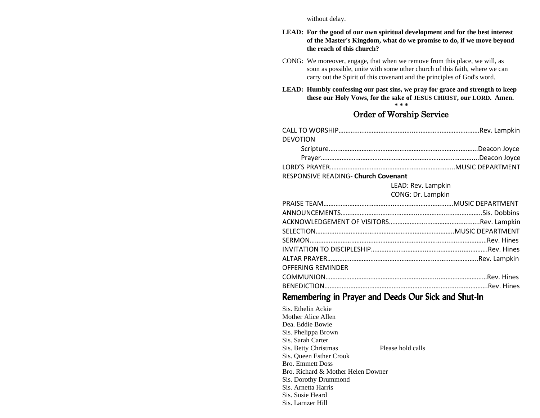without delay.

#### **LEAD: For the good of our own spiritual development and for the best interest of the Master's Kingdom, what do we promise to do, if we move beyond the reach of this church?**

- CONG: We moreover, engage, that when we remove from this place, we will, as soon as possible, unite with some other church of this faith, where we can carry out the Spirit of this covenant and the principles of God's word.
- **LEAD: Humbly confessing our past sins, we pray for grace and strength to keep these our Holy Vows, for the sake of JESUS CHRIST, our LORD. Amen.**

**\* \* \***

### **Order of Worship Service**

| <b>DEVOTION</b> |  |
|-----------------|--|
|                 |  |
|                 |  |
|                 |  |

RESPONSIVE READING- **Church Covenant**

LEAD: Rev. Lampkin

| CONG: Dr. Lampkin |  |
|-------------------|--|
|-------------------|--|

| <b>OFFERING REMINDER</b> |  |
|--------------------------|--|
|                          |  |
|                          |  |

### Remembering in Prayer and Deeds Our Sick and Shut-In

Sis. Ethelin Ackie Mother Alice Allen Dea. Eddie Bowie Sis. Phelippa Brown Sis. Sarah Carter Sis. Betty Christmas Please hold calls Sis. Queen Esther Crook Bro. Emmett Doss Bro. Richard & Mother Helen Downer Sis. Dorothy Drummond Sis. Arnetta Harris Sis. Susie Heard Sis. Larnzer Hill